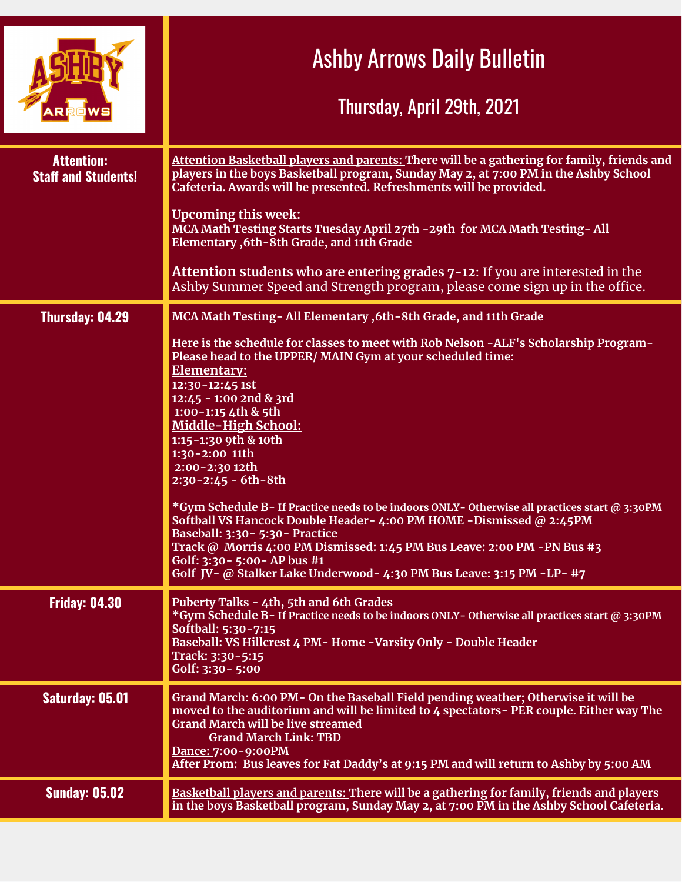|                                                 | <b>Ashby Arrows Daily Bulletin</b><br>Thursday, April 29th, 2021                                                                                                                                                                                                                                                                                                                                                                                                                                                                                                                                                                                                                                                                                                                                                           |
|-------------------------------------------------|----------------------------------------------------------------------------------------------------------------------------------------------------------------------------------------------------------------------------------------------------------------------------------------------------------------------------------------------------------------------------------------------------------------------------------------------------------------------------------------------------------------------------------------------------------------------------------------------------------------------------------------------------------------------------------------------------------------------------------------------------------------------------------------------------------------------------|
| <b>Attention:</b><br><b>Staff and Students!</b> | Attention Basketball players and parents: There will be a gathering for family, friends and<br>players in the boys Basketball program, Sunday May 2, at 7:00 PM in the Ashby School<br>Cafeteria. Awards will be presented. Refreshments will be provided.<br><b>Upcoming this week:</b><br>MCA Math Testing Starts Tuesday April 27th - 29th for MCA Math Testing- All<br>Elementary , 6th - 8th Grade, and 11th Grade<br><b>Attention students who are entering grades 7-12:</b> If you are interested in the<br>Ashby Summer Speed and Strength program, please come sign up in the office.                                                                                                                                                                                                                             |
| <b>Thursday: 04.29</b>                          | MCA Math Testing - All Elementary , 6th - 8th Grade, and 11th Grade<br>Here is the schedule for classes to meet with Rob Nelson -ALF's Scholarship Program-<br>Please head to the UPPER/MAIN Gym at your scheduled time:<br>Elementary:<br>12:30-12:45 1st<br>12:45 - 1:00 2nd & 3rd<br>1:00-1:15 4th & 5th<br>Middle-High School:<br>1:15-1:30 9th & 10th<br>1:30-2:00 11th<br>2:00-2:30 12th<br>$2:30 - 2:45 - 6th - 8th$<br>*Gym Schedule B-If Practice needs to be indoors ONLY-Otherwise all practices start @ 3:30PM<br>Softball VS Hancock Double Header- 4:00 PM HOME -Dismissed @ 2:45PM<br>Baseball: 3:30 - 5:30 - Practice<br>Track @ Morris 4:00 PM Dismissed: 1:45 PM Bus Leave: 2:00 PM -PN Bus #3<br>Golf: 3:30 - 5:00 - AP bus #1<br>Golf JV- @ Stalker Lake Underwood- 4:30 PM Bus Leave: 3:15 PM -LP- #7 |
| <b>Friday: 04.30</b>                            | Puberty Talks - 4th, 5th and 6th Grades<br>*Gym Schedule B-If Practice needs to be indoors ONLY-Otherwise all practices start @ 3:30PM<br>Softball: 5:30-7:15<br>Baseball: VS Hillcrest 4 PM- Home -Varsity Only - Double Header<br>Track: 3:30-5:15<br>Golf: 3:30 - 5:00                                                                                                                                                                                                                                                                                                                                                                                                                                                                                                                                                  |
| Saturday: 05.01                                 | Grand March: 6:00 PM- On the Baseball Field pending weather; Otherwise it will be<br>moved to the auditorium and will be limited to 4 spectators - PER couple. Either way The<br><b>Grand March will be live streamed</b><br><b>Grand March Link: TBD</b><br>Dance: 7:00-9:00PM<br>After Prom: Bus leaves for Fat Daddy's at 9:15 PM and will return to Ashby by 5:00 AM                                                                                                                                                                                                                                                                                                                                                                                                                                                   |
| <b>Sunday: 05.02</b>                            | Basketball players and parents: There will be a gathering for family, friends and players<br>in the boys Basketball program, Sunday May 2, at 7:00 PM in the Ashby School Cafeteria.                                                                                                                                                                                                                                                                                                                                                                                                                                                                                                                                                                                                                                       |